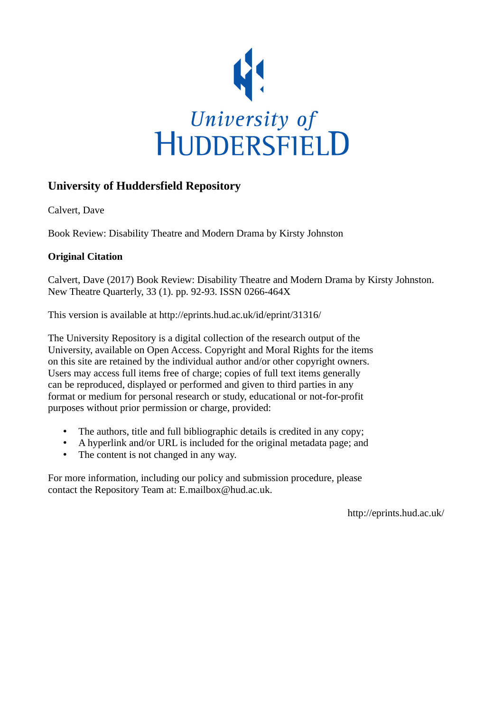

## **University of Huddersfield Repository**

Calvert, Dave

Book Review: Disability Theatre and Modern Drama by Kirsty Johnston

## **Original Citation**

Calvert, Dave (2017) Book Review: Disability Theatre and Modern Drama by Kirsty Johnston. New Theatre Quarterly, 33 (1). pp. 92-93. ISSN 0266-464X

This version is available at http://eprints.hud.ac.uk/id/eprint/31316/

The University Repository is a digital collection of the research output of the University, available on Open Access. Copyright and Moral Rights for the items on this site are retained by the individual author and/or other copyright owners. Users may access full items free of charge; copies of full text items generally can be reproduced, displayed or performed and given to third parties in any format or medium for personal research or study, educational or not-for-profit purposes without prior permission or charge, provided:

- The authors, title and full bibliographic details is credited in any copy;
- A hyperlink and/or URL is included for the original metadata page; and
- The content is not changed in any way.

For more information, including our policy and submission procedure, please contact the Repository Team at: E.mailbox@hud.ac.uk.

http://eprints.hud.ac.uk/